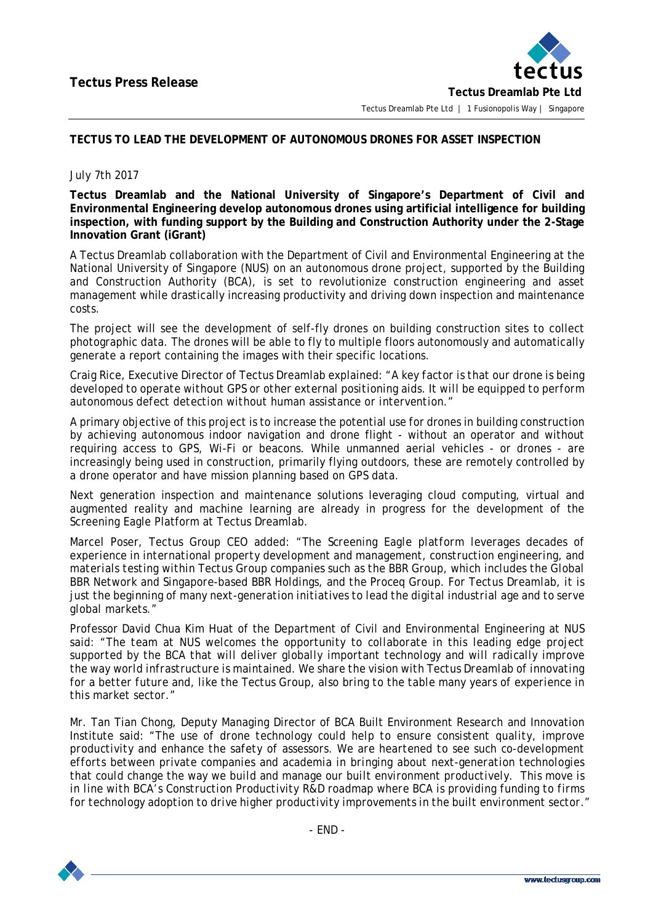

## **TECTUS TO LEAD THE DEVELOPMENT OF AUTONOMOUS DRONES FOR ASSET INSPECTION**

## July 7th 2017

**Tectus Dreamlab and the National University of Singapore's Department of Civil and Environmental Engineering develop autonomous drones using artificial intelligence for building inspection, with funding support by the Building and Construction Authority under the 2-Stage Innovation Grant (iGrant)**

A Tectus Dreamlab collaboration with the Department of Civil and Environmental Engineering at the National University of Singapore (NUS) on an autonomous drone project, supported by the Building and Construction Authority (BCA), is set to revolutionize construction engineering and asset management while drastically increasing productivity and driving down inspection and maintenance costs.

The project will see the development of self-fly drones on building construction sites to collect photographic data. The drones will be able to fly to multiple floors autonomously and automatically generate a report containing the images with their specific locations.

Craig Rice, Executive Director of Tectus Dreamlab explained: *"A key factor is that our drone is being developed to operate without GPS or other external positioning aids. It will be equipped to perform autonomous defect detection without human assistance or intervention."*

A primary objective of this project is to increase the potential use for drones in building construction by achieving autonomous indoor navigation and drone flight - without an operator and without requiring access to GPS, Wi-Fi or beacons. While unmanned aerial vehicles - or drones - are increasingly being used in construction, primarily flying outdoors, these are remotely controlled by a drone operator and have mission planning based on GPS data.

Next generation inspection and maintenance solutions leveraging cloud computing, virtual and augmented reality and machine learning are already in progress for the development of the Screening Eagle Platform at Tectus Dreamlab.

Marcel Poser, Tectus Group CEO added: *"The Screening Eagle platform leverages decades of experience in international property development and management, construction engineering, and materials testing within Tectus Group companies such as the BBR Group, which includes the Global BBR Network and Singapore-based BBR Holdings, and the Proceq Group. For Tectus Dreamlab, it is just the beginning of many next-generation initiatives to lead the digital industrial age and to serve global markets."*

Professor David Chua Kim Huat of the Department of Civil and Environmental Engineering at NUS said: *"The team at NUS welcomes the opportunity to collaborate in this leading edge project supported by the BCA that will deliver globally important technology and will radically improve the way world infrastructure is maintained. We share the vision with Tectus Dreamlab of innovating for a better future and, like the Tectus Group, also bring to the table many years of experience in this market sector."*

Mr. Tan Tian Chong, Deputy Managing Director of BCA Built Environment Research and Innovation Institute said: *"The use of drone technology could help to ensure consistent quality, improve productivity and enhance the safety of assessors. We are heartened to see such co-development efforts between private companies and academia in bringing about next-generation technologies that could change the way we build and manage our built environment productively. This move is in line with BCA's Construction Productivity R&D roadmap where BCA is providing funding to firms for technology adoption to drive higher productivity improvements in the built environment sector."*

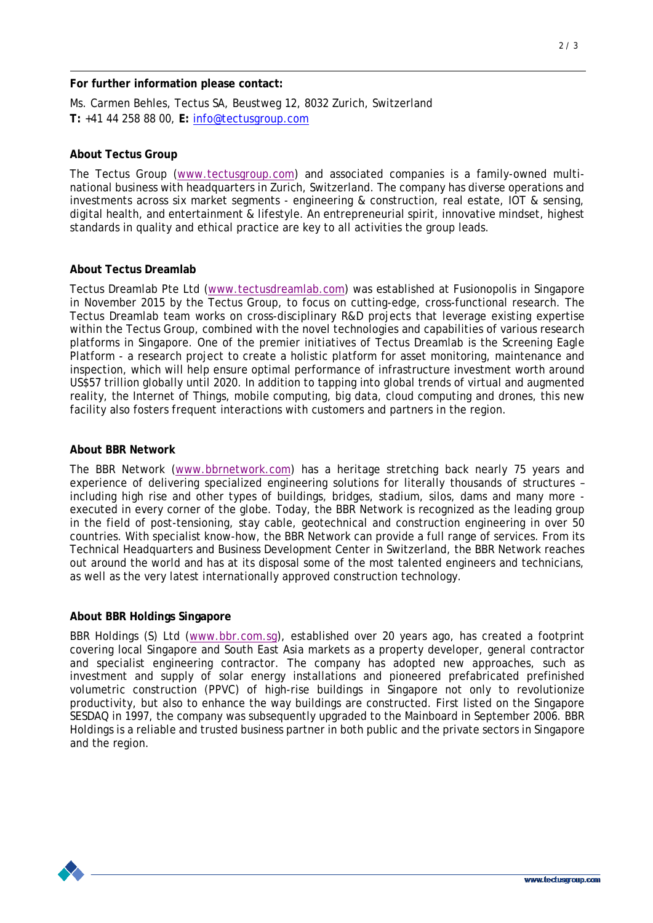## **For further information please contact:**

Ms. Carmen Behles, Tectus SA, Beustweg 12, 8032 Zurich, Switzerland **T:** +41 44 258 88 00, **E:** [info@tectusgroup.com](mailto:info@tectusgroup.com)

#### **About Tectus Group**

The Tectus Group [\(www.tectusgroup.com\)](http://www.tectusgroup.com/) and associated companies is a family-owned multinational business with headquarters in Zurich, Switzerland. The company has diverse operations and investments across six market segments - engineering & construction, real estate, IOT & sensing, digital health, and entertainment & lifestyle. An entrepreneurial spirit, innovative mindset, highest standards in quality and ethical practice are key to all activities the group leads.

#### **About Tectus Dreamlab**

Tectus Dreamlab Pte Ltd [\(www.tectusdreamlab.com\)](http://www.tectusdreamlab.com/) was established at Fusionopolis in Singapore in November 2015 by the Tectus Group, to focus on cutting-edge, cross-functional research. The Tectus Dreamlab team works on cross-disciplinary R&D projects that leverage existing expertise within the Tectus Group, combined with the novel technologies and capabilities of various research platforms in Singapore. One of the premier initiatives of Tectus Dreamlab is the Screening Eagle Platform - a research project to create a holistic platform for asset monitoring, maintenance and inspection, which will help ensure optimal performance of infrastructure investment worth around US\$57 trillion globally until 2020. In addition to tapping into global trends of virtual and augmented reality, the Internet of Things, mobile computing, big data, cloud computing and drones, this new facility also fosters frequent interactions with customers and partners in the region.

#### **About BBR Network**

The BBR Network [\(www.bbrnetwork.com\)](http://www.bbrnetwork.com/) has a heritage stretching back nearly 75 years and experience of delivering specialized engineering solutions for literally thousands of structures – including high rise and other types of buildings, bridges, stadium, silos, dams and many more executed in every corner of the globe. Today, the BBR Network is recognized as the leading group in the field of post-tensioning, stay cable, geotechnical and construction engineering in over 50 countries. With specialist know-how, the BBR Network can provide a full range of services. From its Technical Headquarters and Business Development Center in Switzerland, the BBR Network reaches out around the world and has at its disposal some of the most talented engineers and technicians, as well as the very latest internationally approved construction technology.

#### **About BBR Holdings Singapore**

BBR Holdings (S) Ltd [\(www.bbr.com.sg\)](http://www.bbr.com.sg/), established over 20 years ago, has created a footprint covering local Singapore and South East Asia markets as a property developer, general contractor and specialist engineering contractor. The company has adopted new approaches, such as investment and supply of solar energy installations and pioneered prefabricated prefinished volumetric construction (PPVC) of high-rise buildings in Singapore not only to revolutionize productivity, but also to enhance the way buildings are constructed. First listed on the Singapore SESDAQ in 1997, the company was subsequently upgraded to the Mainboard in September 2006. BBR Holdings is a reliable and trusted business partner in both public and the private sectors in Singapore and the region.